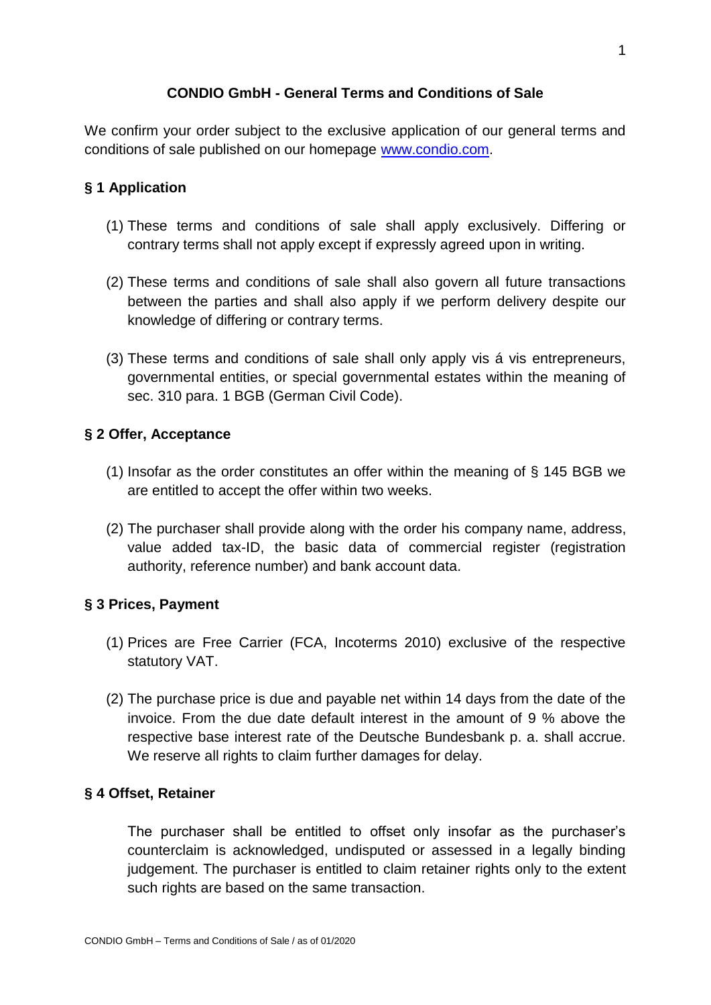## **CONDIO GmbH - General Terms and Conditions of Sale**

We confirm your order subject to the exclusive application of our general terms and conditions of sale published on our homepage [www.condio.com.](http://www.condio.com/)

## **§ 1 Application**

- (1) These terms and conditions of sale shall apply exclusively. Differing or contrary terms shall not apply except if expressly agreed upon in writing.
- (2) These terms and conditions of sale shall also govern all future transactions between the parties and shall also apply if we perform delivery despite our knowledge of differing or contrary terms.
- (3) These terms and conditions of sale shall only apply vis á vis entrepreneurs, governmental entities, or special governmental estates within the meaning of sec. 310 para. 1 BGB (German Civil Code).

## **§ 2 Offer, Acceptance**

- (1) Insofar as the order constitutes an offer within the meaning of § 145 BGB we are entitled to accept the offer within two weeks.
- (2) The purchaser shall provide along with the order his company name, address, value added tax-ID, the basic data of commercial register (registration authority, reference number) and bank account data.

# **§ 3 Prices, Payment**

- (1) Prices are Free Carrier (FCA, Incoterms 2010) exclusive of the respective statutory VAT.
- (2) The purchase price is due and payable net within 14 days from the date of the invoice. From the due date default interest in the amount of 9 % above the respective base interest rate of the Deutsche Bundesbank p. a. shall accrue. We reserve all rights to claim further damages for delay.

#### **§ 4 Offset, Retainer**

The purchaser shall be entitled to offset only insofar as the purchaser's counterclaim is acknowledged, undisputed or assessed in a legally binding judgement. The purchaser is entitled to claim retainer rights only to the extent such rights are based on the same transaction.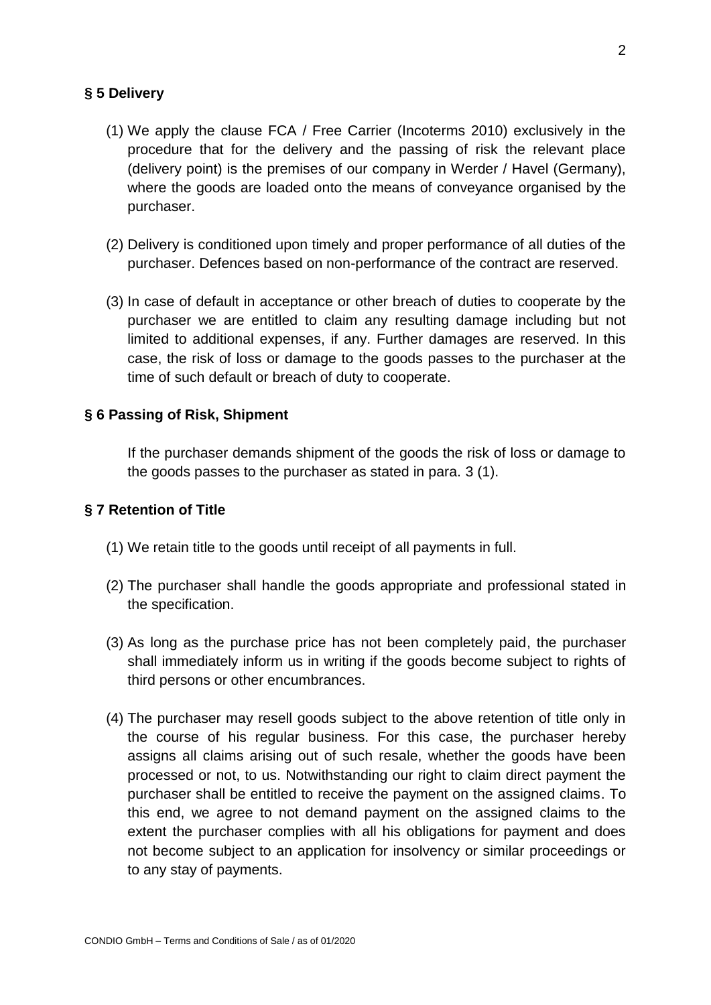### **§ 5 Delivery**

- (1) We apply the clause FCA / Free Carrier (Incoterms 2010) exclusively in the procedure that for the delivery and the passing of risk the relevant place (delivery point) is the premises of our company in Werder / Havel (Germany), where the goods are loaded onto the means of conveyance organised by the purchaser.
- (2) Delivery is conditioned upon timely and proper performance of all duties of the purchaser. Defences based on non-performance of the contract are reserved.
- (3) In case of default in acceptance or other breach of duties to cooperate by the purchaser we are entitled to claim any resulting damage including but not limited to additional expenses, if any. Further damages are reserved. In this case, the risk of loss or damage to the goods passes to the purchaser at the time of such default or breach of duty to cooperate.

## **§ 6 Passing of Risk, Shipment**

If the purchaser demands shipment of the goods the risk of loss or damage to the goods passes to the purchaser as stated in para. 3 (1).

#### **§ 7 Retention of Title**

- (1) We retain title to the goods until receipt of all payments in full.
- (2) The purchaser shall handle the goods appropriate and professional stated in the specification.
- (3) As long as the purchase price has not been completely paid, the purchaser shall immediately inform us in writing if the goods become subject to rights of third persons or other encumbrances.
- (4) The purchaser may resell goods subject to the above retention of title only in the course of his regular business. For this case, the purchaser hereby assigns all claims arising out of such resale, whether the goods have been processed or not, to us. Notwithstanding our right to claim direct payment the purchaser shall be entitled to receive the payment on the assigned claims. To this end, we agree to not demand payment on the assigned claims to the extent the purchaser complies with all his obligations for payment and does not become subject to an application for insolvency or similar proceedings or to any stay of payments.